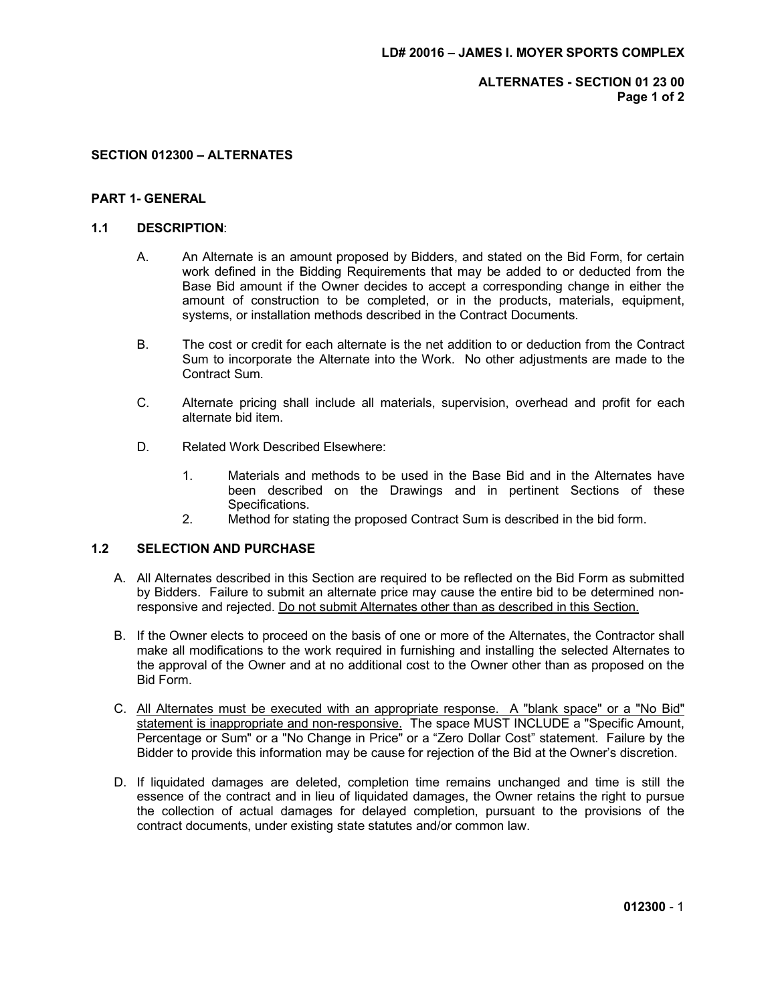ALTERNATES - SECTION 01 23 00 Page 1 of 2

## SECTION 012300 – ALTERNATES

# PART 1- GENERAL

### 1.1 DESCRIPTION:

- A. An Alternate is an amount proposed by Bidders, and stated on the Bid Form, for certain work defined in the Bidding Requirements that may be added to or deducted from the Base Bid amount if the Owner decides to accept a corresponding change in either the amount of construction to be completed, or in the products, materials, equipment, systems, or installation methods described in the Contract Documents.
- B. The cost or credit for each alternate is the net addition to or deduction from the Contract Sum to incorporate the Alternate into the Work. No other adjustments are made to the Contract Sum.
- C. Alternate pricing shall include all materials, supervision, overhead and profit for each alternate bid item.
- D. Related Work Described Elsewhere:
	- 1. Materials and methods to be used in the Base Bid and in the Alternates have been described on the Drawings and in pertinent Sections of these Specifications.
	- 2. Method for stating the proposed Contract Sum is described in the bid form.

# 1.2 SELECTION AND PURCHASE

- A. All Alternates described in this Section are required to be reflected on the Bid Form as submitted by Bidders. Failure to submit an alternate price may cause the entire bid to be determined nonresponsive and rejected. Do not submit Alternates other than as described in this Section.
- B. If the Owner elects to proceed on the basis of one or more of the Alternates, the Contractor shall make all modifications to the work required in furnishing and installing the selected Alternates to the approval of the Owner and at no additional cost to the Owner other than as proposed on the Bid Form.
- C. All Alternates must be executed with an appropriate response. A "blank space" or a "No Bid" statement is inappropriate and non-responsive. The space MUST INCLUDE a "Specific Amount, Percentage or Sum" or a "No Change in Price" or a "Zero Dollar Cost" statement. Failure by the Bidder to provide this information may be cause for rejection of the Bid at the Owner's discretion.
- D. If liquidated damages are deleted, completion time remains unchanged and time is still the essence of the contract and in lieu of liquidated damages, the Owner retains the right to pursue the collection of actual damages for delayed completion, pursuant to the provisions of the contract documents, under existing state statutes and/or common law.